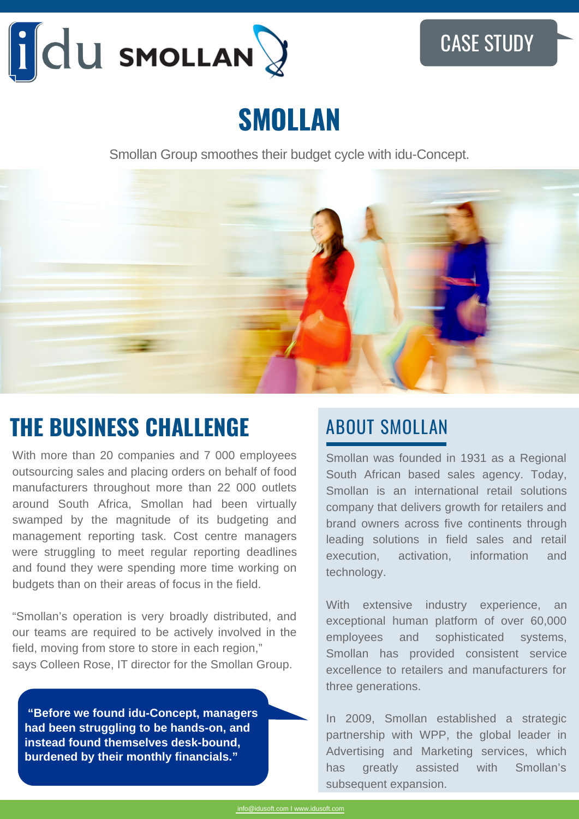

# **SMOLLAN**

Smollan Group smoothes their budget cycle with idu-Concept.



## **THE BUSINESS CHALLENGE** ABOUT SMOLLAN

With more than 20 companies and 7 000 employees outsourcing sales and placing orders on behalf of food manufacturers throughout more than 22 000 outlets around South Africa, Smollan had been virtually swamped by the magnitude of its budgeting and management reporting task. Cost centre managers were struggling to meet regular reporting deadlines and found they were spending more time working on budgets than on their areas of focus in the field.

"Smollan's operation is very broadly distributed, and our teams are required to be actively involved in the field, moving from store to store in each region," says Colleen Rose, IT director for the Smollan Group.

 **"Before we found idu-Concept, managers had been struggling to be hands-on, and instead found themselves desk-bound, burdened by their monthly financials."**

Smollan was founded in 1931 as a Regional South African based sales agency. Today, Smollan is an international retail solutions company that delivers growth for retailers and brand owners across five continents through leading solutions in field sales and retail execution, activation, information and technology.

With extensive industry experience, an exceptional human platform of over 60,000 employees and sophisticated systems, Smollan has provided consistent service excellence to retailers and manufacturers for three generations.

In 2009, Smollan established a strategic partnership with WPP, the global leader in Advertising and Marketing services, which has greatly assisted with Smollan's subsequent expansion.